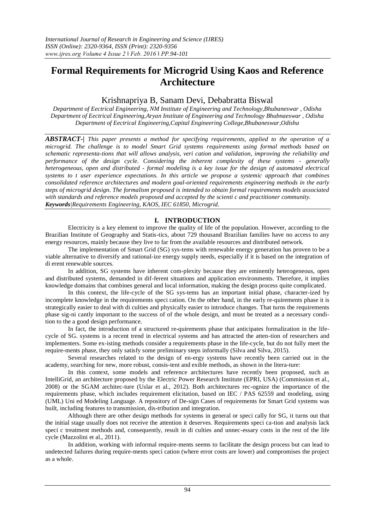# **Formal Requirements for Microgrid Using Kaos and Reference Architecture**

# Krishnapriya B, Sanam Devi, Debabratta Biswal

*Department of Eectrical Engineering, NM Institute of Engineering and Technology,Bhubaneswar , Odisha Department of Eectrical Engineering,Aryan Institute of Engineering and Technology Bhubnaeswar , Odisha Department of Eectrical Engineering,Capital Engineering College,Bhubaneswar,Odisha*

*ABSTRACT-| This paper presents a method for specifying requirements, applied to the operation of a microgrid. The challenge is to model Smart Grid systems requirements using formal methods based on schematic representa-tions that will allows analysis, veri cation and validation, improving the reliability and performance of the design cycle. Considering the inherent complexity of these systems - generally heterogeneous, open and distributed - formal modeling is a key issue for the design of automated electrical systems to t user experience expectations. In this article we propose a systemic approach that combines consolidated reference architectures and modern goal-oriented requirements engineering methods in the early steps of microgrid design. The formalism proposed is intended to obtain formal requirements models associated with standards and reference models proposed and accepted by the scienti c and practitioner community. Keywords|Requirements Engineering, KAOS, IEC 61850, Microgrid.*

# **I. INTRODUCTION**

Electricity is a key element to improve the quality of life of the population. However, according to the Brazilian Institute of Geography and Statis-tics, about 729 thousand Brazilian families have no access to any energy resources, mainly because they live to far from the available resources and distributed network.

The implementation of Smart Grid (SG) sys-tems with renewable energy generation has proven to be a viable alternative to diversify and rational-ize energy supply needs, especially if it is based on the integration of di erent renewable sources.

In addition, SG systems have inherent com-plexity because they are eminently heterogeneous, open and distributed systems, demanded in dif-ferent situations and application environments. Therefore, it implies knowledge domains that combines general and local information, making the design process quite complicated.

In this context, the life-cycle of the SG sys-tems has an important initial phase, character-ized by incomplete knowledge in the requirements speci cation. On the other hand, in the early re-quirements phase it is strategically easier to deal with di culties and physically easier to introduce changes. That turns the requirements phase sig-ni cantly important to the success of of the whole design, and must be treated as a necessary condition to the a good design performance.

In fact, the introduction of a structured re-quirements phase that anticipates formalization in the lifecycle of SG. systems is a recent trend in electrical systems and has attracted the atten-tion of researchers and implementers. Some ex-isting methods consider a requirements phase in the life-cycle, but do not fully meet the require-ments phase, they only satisfy some preliminary steps informally (Silva and Silva, 2015).

Several researches related to the design of en-ergy systems have recently been carried out in the academy, searching for new, more robust, consis-tent and exible methods, as shown in the litera-ture:

In this context, some models and reference architectures have recently been proposed, such as IntelliGrid, an architecture proposed by the Electric Power Research Institute (EPRI, USA) (Commission et al., 2008) or the SGAM architec-ture (Uslar et al., 2012). Both architectures rec-ognize the importance of the requirements phase, which includes requirement elicitation, based on IEC / PAS 62559 and modeling, using (UML) Uni ed Modeling Language. A repository of De-sign Cases of requirements for Smart Grid systems was built, including features to transmission, dis-tribution and integration.

Although there are other design methods for systems in general or speci cally for SG, it turns out that the initial stage usually does not receive the attention it deserves. Requirements speci ca-tion and analysis lack speci c treatment methods and, consequently, result in di culties and unnec-essary costs in the rest of the life cycle (Mazzolini et al., 2011).

In addition, working with informal require-ments seems to facilitate the design process but can lead to undetected failures during require-ments speci cation (where error costs are lower) and compromises the project as a whole.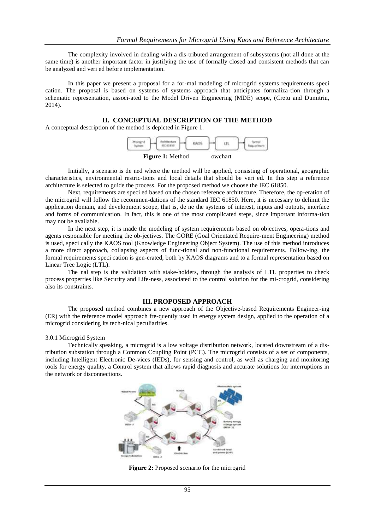The complexity involved in dealing with a dis-tributed arrangement of subsystems (not all done at the same time) is another important factor in justifying the use of formally closed and consistent methods that can be analyzed and veri ed before implementation.

In this paper we present a proposal for a for-mal modeling of microgrid systems requirements speci cation. The proposal is based on systems of systems approach that anticipates formaliza-tion through a schematic representation, associ-ated to the Model Driven Engineering (MDE) scope, (Cretu and Dumitriu, 2014).

# **II. CONCEPTUAL DESCRIPTION OF THE METHOD**

A conceptual description of the method is depicted in Figure 1.



Initially, a scenario is de ned where the method will be applied, consisting of operational, geographic characteristics, environmental restric-tions and local details that should be veri ed. In this step a reference architecture is selected to guide the process. For the proposed method we choose the IEC 61850.

Next, requirements are speci ed based on the chosen reference architecture. Therefore, the op-eration of the microgrid will follow the recommen-dations of the standard IEC 61850. Here, it is necessary to delimit the application domain, and development scope, that is, de ne the systems of interest, inputs and outputs, interface and forms of communication. In fact, this is one of the most complicated steps, since important informa-tion may not be available.

In the next step, it is made the modeling of system requirements based on objectives, opera-tions and agents responsible for meeting the ob-jectives. The GORE (Goal Orientated Require-ment Engineering) method is used, speci cally the KAOS tool (Knowledge Engineering Object System). The use of this method introduces a more direct approach, collapsing aspects of func-tional and non-functional requirements. Follow-ing, the formal requirements speci cation is gen-erated, both by KAOS diagrams and to a formal representation based on Linear Tree Logic (LTL).

The nal step is the validation with stake-holders, through the analysis of LTL properties to check process properties like Security and Life-ness, associated to the control solution for the mi-crogrid, considering also its constraints.

#### **III.PROPOSED APPROACH**

The proposed method combines a new approach of the Objective-based Requirements Engineer-ing (ER) with the reference model approach fre-quently used in energy system design, applied to the operation of a microgrid considering its tech-nical peculiarities.

#### 3.0.1 Microgrid System

Technically speaking, a microgrid is a low voltage distribution network, located downstream of a distribution substation through a Common Coupling Point (PCC). The microgrid consists of a set of components, including Intelligent Electronic De-vices (IEDs), for sensing and control, as well as charging and monitoring tools for energy quality, a Control system that allows rapid diagnosis and accurate solutions for interruptions in the network or disconnections.



**Figure 2:** Proposed scenario for the microgrid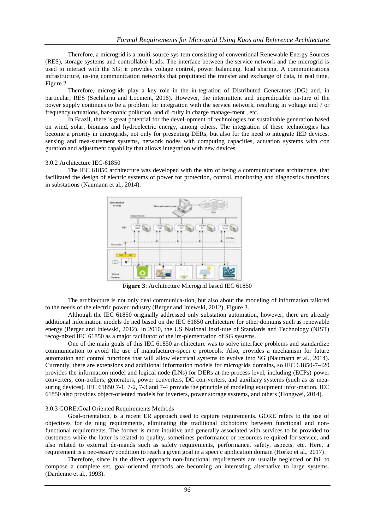Therefore, a microgrid is a multi-source sys-tem consisting of conventional Renewable Energy Sources (RES), storage systems and controllable loads. The interface between the service network and the microgrid is used to interact with the SG; it provides voltage control, power balancing, load sharing. A communications infrastructure, us-ing communication networks that propitiated the transfer and exchange of data, in real time, Figure 2.

Therefore, microgrids play a key role in the in-tegration of Distributed Generators (DG) and, in particular, RES (Sechilariu and Locment, 2016). However, the intermittent and unpredictable na-ture of the power supply continues to be a problem for integration with the service network, resulting in voltage and / or frequency uctuations, har-monic pollution, and di culty in charge manage-ment , etc.

In Brazil, there is great potential for the devel-opment of technologies for sustainable generation based on wind, solar, biomass and hydroelectric energy, among others. The integration of these technologies has become a priority in microgrids, not only for presenting DERs, but also for the need to integrate IED devices, sensing and mea-surement systems, network nodes with computing capacities, actuation systems with con guration and adjustment capability that allows integration with new devices.

#### 3.0.2 Architecture IEC-61850

The IEC 61850 architecture was developed with the aim of being a communications architecture, that facilitated the design of electric systems of power for protection, control, monitoring and diagnostics functions in substations (Naumann et al., 2014).



**Figure 3**: Architecture Microgrid based IEC 61850

The architecture is not only deal communica-tion, but also about the modeling of information tailored to the needs of the electric power industry (Berger and Iniewski, 2012), Figure 3.

Although the IEC 61850 originally addressed only substation automation, however, there are already additional information models de ned based on the IEC 61850 architecture for other domains such as renewable energy (Berger and Iniewski, 2012). In 2010, the US National Insti-tute of Standards and Technology (NIST) recog-nized IEC 61850 as a major facilitator of the im-plementation of SG systems.

One of the main goals of this IEC 61850 ar-chitecture was to solve interface problems and standardize communication to avoid the use of manufacturer-speci c protocols. Also, provides a mechanism for future automation and control functions that will allow electrical systems to evolve into SG (Naumann et al., 2014). Currently, there are extensions and additional information models for microgrids domains, so IEC 61850-7-420 provides the information model and logical node (LNs) for DERs at the process level, including (ECPs) power converters, con-trollers, generators, power converters, DC con-verters, and auxiliary systems (such as as measuring devices). IEC 61850 7-1, 7-2, 7-3 and 7-4 provide the principle of modeling equipment infor-mation. IEC 61850 also provides object-oriented models for inverters, power storage systems, and others (Hongwei, 2014).

#### 3.0.3 GORE:Goal Oriented Requirements Methods

Goal-orientation, is a recent ER approach used to capture requirements. GORE refers to the use of objectives for de ning requirements, eliminating the traditional dichotomy between functional and nonfunctional requirements. The former is more intuitive and generally associated with services to be provided to customers while the latter is related to quality, sometimes performance or resources re-quired for service, and also related to external de-mands such as safety requirements, performance, safety, aspects, etc. Here, a requirement is a nec-essary condition to reach a given goal in a speci c application domain (Horko et al., 2017).

Therefore, since in the direct approach non-functional requirements are usually neglected or fail to compose a complete set, goal-oriented methods are becoming an interesting alternative to large systems. (Dardenne et al., 1993).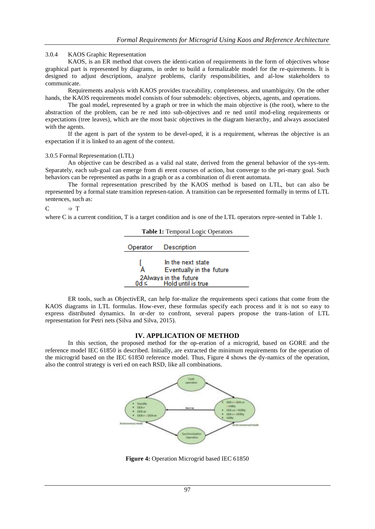### 3.0.4 KAOS Graphic Representation

KAOS, is an ER method that covers the identi-cation of requirements in the form of objectives whose graphical part is represented by diagrams, in order to build a formalizable model for the re-quirements. It is designed to adjust descriptions, analyze problems, clarify responsibilities, and al-low stakeholders to communicate.

Requirements analysis with KAOS provides traceability, completeness, and unambiguity. On the other hands, the KAOS requirements model consists of four submodels: objectives, objects, agents, and operations.

The goal model, represented by a graph or tree in which the main objective is (the root), where to the abstraction of the problem, can be re ned into sub-objectives and re ned until mod-eling requirements or expectations (tree leaves), which are the most basic objectives in the diagram hierarchy, and always associated with the agents.

If the agent is part of the system to be devel-oped, it is a requirement, whereas the objective is an expectation if it is linked to an agent of the context.

#### 3.0.5 Formal Representation (LTL)

An objective can be described as a valid nal state, derived from the general behavior of the sys-tem. Separately, each sub-goal can emerge from di erent courses of action, but converge to the pri-mary goal. Such behaviors can be represented as paths in a graph or as a combination of di erent automata.

The formal representation prescribed by the KAOS method is based on LTL, but can also be represented by a formal state transition represen-tation. A transition can be represented formally in terms of LTL sentences, such as:

#### $C \Rightarrow T$

where C is a current condition, T is a target condition and is one of the LTL operators repre-sented in Table 1.

| Table 1: Temporal Logic Operators              |                          |  |
|------------------------------------------------|--------------------------|--|
|                                                | Operator Description     |  |
|                                                |                          |  |
|                                                | In the next state        |  |
|                                                | Eventually in the future |  |
| 2Always in the future<br>d≤ Hold until is true |                          |  |
|                                                |                          |  |

ER tools, such as ObjectivER, can help for-malize the requirements speci cations that come from the KAOS diagrams in LTL formulas. How-ever, these formulas specify each process and it is not so easy to express distributed dynamics. In or-der to confront, several papers propose the trans-lation of LTL representation for Petri nets (Silva and Silva, 2015).

### **IV. APPLICATION OF METHOD**

In this section, the proposed method for the op-eration of a microgrid, based on GORE and the reference model IEC 61850 is described. Initially, are extracted the minimum requirements for the operation of the microgrid based on the IEC 61850 reference model. Thus, Figure 4 shows the dy-namics of the operation, also the control strategy is veri ed on each RSD, like all combinations.



**Figure 4:** Operation Microgrid based IEC 61850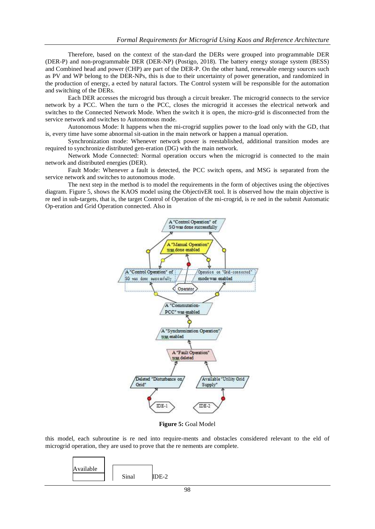Therefore, based on the context of the stan-dard the DERs were grouped into programmable DER (DER-P) and non-programmable DER (DER-NP) (Postigo, 2018). The battery energy storage system (BESS) and Combined head and power (CHP) are part of the DER-P. On the other hand, renewable energy sources such as PV and WP belong to the DER-NPs, this is due to their uncertainty of power generation, and randomized in the production of energy, a ected by natural factors. The Control system will be responsible for the automation and switching of the DERs.

Each DER accesses the microgrid bus through a circuit breaker. The microgrid connects to the service network by a PCC. When the turn o the PCC, closes the microgrid it accesses the electrical network and switches to the Connected Network Mode. When the switch it is open, the micro-grid is disconnected from the service network and switches to Autonomous mode.

Autonomous Mode: It happens when the mi-crogrid supplies power to the load only with the GD, that is, every time have some abnormal sit-uation in the main network or happen a manual operation.

Synchronization mode: Whenever network power is reestablished, additional transition modes are required to synchronize distributed gen-eration (DG) with the main network.

Network Mode Connected: Normal operation occurs when the microgrid is connected to the main network and distributed energies (DER).

Fault Mode: Whenever a fault is detected, the PCC switch opens, and MSG is separated from the service network and switches to autonomous mode.

The next step in the method is to model the requirements in the form of objectives using the objectives diagram. Figure 5, shows the KAOS model using the ObjectivER tool. It is observed how the main objective is re ned in sub-targets, that is, the target Control of Operation of the mi-crogrid, is re ned in the submit Automatic Op-eration and Grid Operation connected. Also in



**Figure 5:** Goal Model

this model, each subroutine is re ned into require-ments and obstacles considered relevant to the eld of microgrid operation, they are used to prove that the re nements are complete.

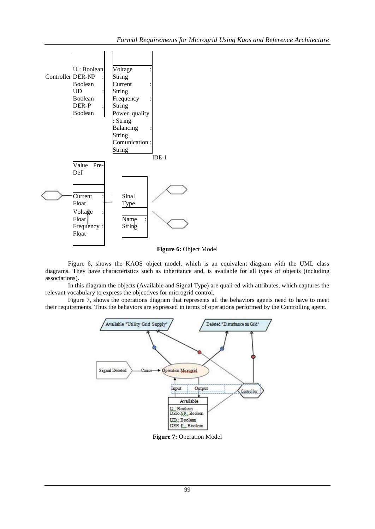

**Figure 6:** Object Model

Figure 6, shows the KAOS object model, which is an equivalent diagram with the UML class diagrams. They have characteristics such as inheritance and, is available for all types of objects (including associations).

In this diagram the objects (Available and Signal Type) are quali ed with attributes, which captures the relevant vocabulary to express the objectives for microgrid control.

Figure 7, shows the operations diagram that represents all the behaviors agents need to have to meet their requirements. Thus the behaviors are expressed in terms of operations performed by the Controlling agent.



**Figure 7:** Operation Model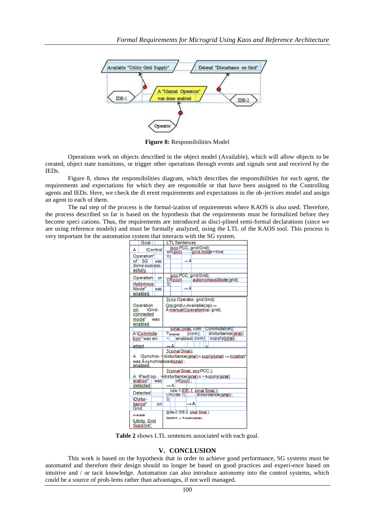

**Figure 8:** Responsibilities Model

Operations work on objects described in the object model (Available), which will allow objects to be created, object state transitions, or trigger other operations through events and signals sent and received by the IEDs.

Figure 8, shows the responsibilities diagram, which describes the responsibilities for each agent, the requirements and expectations for which they are responsible or that have been assigned to the Controlling agents and IEDs. Here, we check the di erent requirements and expectations in the ob-jectives model and assign an agent to each of them.

The nal step of the process is the formal-ization of requirements where KAOS is also used. Therefore, the process described so far is based on the hypothesis that the requirements must be formalized before they become speci cations. Thus, the requirements are introduced as disci-plined semi-formal declarations (since we are using reference models) and must be formally analyzed, using the LTL of the KAOS tool. This process is very important for the automation system that interacts with the SG system.

| Goal                        | <b>LTL</b> Sentences                                                           |
|-----------------------------|--------------------------------------------------------------------------------|
| <b>\Control</b><br>А        | p.cc PCC, grid Grid);                                                          |
| Operation"                  | on(pcc) and mode = true;<br>Ψľ                                                 |
| of SG<br>was                | $\rightarrow$ A                                                                |
| done success-               |                                                                                |
| esfully.                    |                                                                                |
| Operation on                | p.c.c. PCC, grid Grid);                                                        |
|                             | Of(p.cc)  autonomousMode(grid);                                                |
| <b>Viutomous</b>            | K<br>$\rightarrow$ A                                                           |
| Mode"<br>was                |                                                                                |
| enabled.                    |                                                                                |
|                             | 3(op Operator, grid Grid);                                                     |
| Operation<br><b>\Grid-</b>  | $On($ grid) $\land$ Available(op) $\rightarrow$                                |
| 90.<br>connected            | A manual Operation (op; grid);                                                 |
| mode"<br>was                |                                                                                |
| enabled.                    |                                                                                |
|                             | sinal Sinal, com   Commutation);                                               |
| A \Commuta-                 | <sup>3</sup> C <sub>enabled</sub><br>disturbance(sinal)<br>(com)               |
| tion" was en-               | enabled(com) supply(sinal);                                                    |
| abled                       | → Ai                                                                           |
|                             | E(sinal Sinal):                                                                |
|                             | A \Synchro- - disturbance(sinal)∧ suply(sinal) → nization"                     |
| was Å svnchronized(sinal) : |                                                                                |
| enabled                     |                                                                                |
|                             | <b>H</b> (sinal Sinal, pcc PCC.);                                              |
|                             | A \Faultop- -disturbance(sinal) ^ - supply(sinal)                              |
| eration"<br>was             | $of(p, c, c)$ :                                                                |
| detected.                   | Αi                                                                             |
| Detected                    | $ide-1$ IDE <sub>z</sub> 1, sinal Sinal. $)$ :<br>On(ide-1)disturbance(sinal); |
| <b>\Distur-</b>             | Э.                                                                             |
| bance"<br>on                | →Å                                                                             |
| Grid:                       | 3(ide-2 IDE-2, sinal Sinal.);                                                  |
| Available                   |                                                                                |
| <b>Willity Grid</b>         | Codde-2) - A supply (cloud) ;                                                  |
| Supplys".                   |                                                                                |

**Table 2** shows LTL sentences associated with each goal.

#### **V. CONCLUSION**

This work is based on the hypothesis that in order to achieve good performance, SG systems must be automated and therefore their design should no longer be based on good practices and experi-ence based on intuitive and / or tacit knowledge. Automation can also introduce autonomy into the control systems, which could be a source of prob-lems rather than advantages, if not well managed.